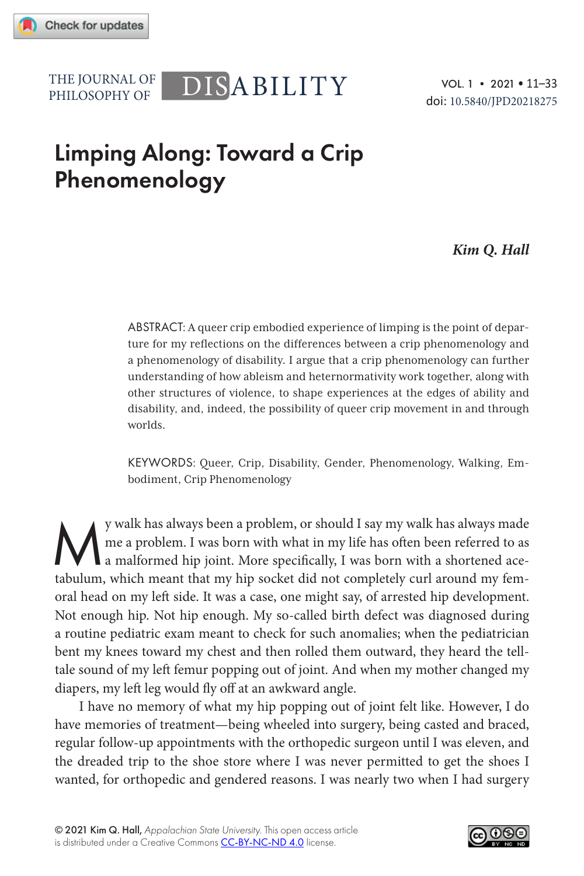PHILOSOPHY OF

# THE JOURNAL OF DISABILITY

VOL. 1 • 2021 • 11–33 doi: 10.5840/JPD20218275

# Limping Along: Toward a Crip Phenomenology

#### *Kim Q. Hall*

ABSTRACT: A queer crip embodied experience of limping is the point of departure for my reflections on the differences between a crip phenomenology and a phenomenology of disability. I argue that a crip phenomenology can further understanding of how ableism and heternormativity work together, along with other structures of violence, to shape experiences at the edges of ability and disability, and, indeed, the possibility of queer crip movement in and through worlds.

KEYWORDS: Queer, Crip, Disability, Gender, Phenomenology, Walking, Embodiment, Crip Phenomenology

y walk has always been a problem, or should I say my walk has always made<br>a me a problem. I was born with what in my life has often been referred to as<br>a malformed hip joint. More specifically, I was born with a shortened me a problem. I was born with what in my life has often been referred to as a malformed hip joint. More specifically, I was born with a shortened acetabulum, which meant that my hip socket did not completely curl around my femoral head on my left side. It was a case, one might say, of arrested hip development. Not enough hip. Not hip enough. My so-called birth defect was diagnosed during a routine pediatric exam meant to check for such anomalies; when the pediatrician bent my knees toward my chest and then rolled them outward, they heard the telltale sound of my left femur popping out of joint. And when my mother changed my diapers, my left leg would fly off at an awkward angle.

I have no memory of what my hip popping out of joint felt like. However, I do have memories of treatment—being wheeled into surgery, being casted and braced, regular follow-up appointments with the orthopedic surgeon until I was eleven, and the dreaded trip to the shoe store where I was never permitted to get the shoes I wanted, for orthopedic and gendered reasons. I was nearly two when I had surgery

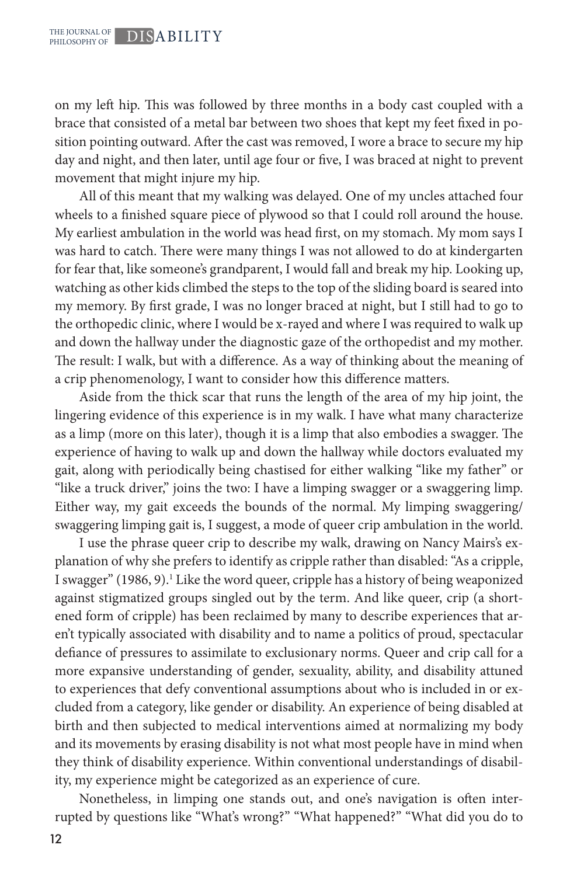on my left hip. This was followed by three months in a body cast coupled with a brace that consisted of a metal bar between two shoes that kept my feet fixed in position pointing outward. After the cast was removed, I wore a brace to secure my hip day and night, and then later, until age four or five, I was braced at night to prevent movement that might injure my hip.

All of this meant that my walking was delayed. One of my uncles attached four wheels to a finished square piece of plywood so that I could roll around the house. My earliest ambulation in the world was head first, on my stomach. My mom says I was hard to catch. There were many things I was not allowed to do at kindergarten for fear that, like someone's grandparent, I would fall and break my hip. Looking up, watching as other kids climbed the steps to the top of the sliding board is seared into my memory. By first grade, I was no longer braced at night, but I still had to go to the orthopedic clinic, where I would be x-rayed and where I was required to walk up and down the hallway under the diagnostic gaze of the orthopedist and my mother. The result: I walk, but with a difference. As a way of thinking about the meaning of a crip phenomenology, I want to consider how this difference matters.

Aside from the thick scar that runs the length of the area of my hip joint, the lingering evidence of this experience is in my walk. I have what many characterize as a limp (more on this later), though it is a limp that also embodies a swagger. The experience of having to walk up and down the hallway while doctors evaluated my gait, along with periodically being chastised for either walking "like my father" or "like a truck driver," joins the two: I have a limping swagger or a swaggering limp. Either way, my gait exceeds the bounds of the normal. My limping swaggering/ swaggering limping gait is, I suggest, a mode of queer crip ambulation in the world.

I use the phrase queer crip to describe my walk, drawing on Nancy Mairs's explanation of why she prefers to identify as cripple rather than disabled: "As a cripple, I swagger" (1986, 9).<sup>1</sup> Like the word queer, cripple has a history of being weaponized against stigmatized groups singled out by the term. And like queer, crip (a shortened form of cripple) has been reclaimed by many to describe experiences that aren't typically associated with disability and to name a politics of proud, spectacular defiance of pressures to assimilate to exclusionary norms. Queer and crip call for a more expansive understanding of gender, sexuality, ability, and disability attuned to experiences that defy conventional assumptions about who is included in or excluded from a category, like gender or disability. An experience of being disabled at birth and then subjected to medical interventions aimed at normalizing my body and its movements by erasing disability is not what most people have in mind when they think of disability experience. Within conventional understandings of disability, my experience might be categorized as an experience of cure.

Nonetheless, in limping one stands out, and one's navigation is often interrupted by questions like "What's wrong?" "What happened?" "What did you do to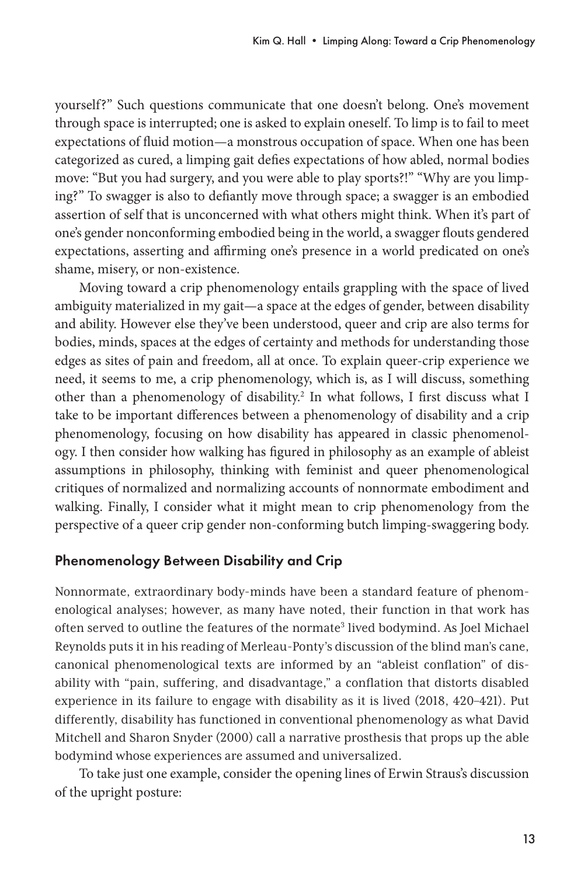yourself?" Such questions communicate that one doesn't belong. One's movement through space is interrupted; one is asked to explain oneself. To limp is to fail to meet expectations of fluid motion—a monstrous occupation of space. When one has been categorized as cured, a limping gait defies expectations of how abled, normal bodies move: "But you had surgery, and you were able to play sports?!" "Why are you limping?" To swagger is also to defiantly move through space; a swagger is an embodied assertion of self that is unconcerned with what others might think. When it's part of one's gender nonconforming embodied being in the world, a swagger flouts gendered expectations, asserting and affirming one's presence in a world predicated on one's shame, misery, or non-existence.

Moving toward a crip phenomenology entails grappling with the space of lived ambiguity materialized in my gait—a space at the edges of gender, between disability and ability. However else they've been understood, queer and crip are also terms for bodies, minds, spaces at the edges of certainty and methods for understanding those edges as sites of pain and freedom, all at once. To explain queer-crip experience we need, it seems to me, a crip phenomenology, which is, as I will discuss, something other than a phenomenology of disability.<sup>2</sup> In what follows, I first discuss what I take to be important differences between a phenomenology of disability and a crip phenomenology, focusing on how disability has appeared in classic phenomenology. I then consider how walking has figured in philosophy as an example of ableist assumptions in philosophy, thinking with feminist and queer phenomenological critiques of normalized and normalizing accounts of nonnormate embodiment and walking. Finally, I consider what it might mean to crip phenomenology from the perspective of a queer crip gender non-conforming butch limping-swaggering body.

# Phenomenology Between Disability and Crip

Nonnormate, extraordinary body-minds have been a standard feature of phenomenological analyses; however, as many have noted, their function in that work has often served to outline the features of the normate<sup>3</sup> lived bodymind. As Joel Michael Reynolds puts it in his reading of Merleau-Ponty's discussion of the blind man's cane, canonical phenomenological texts are informed by an "ableist conflation" of disability with "pain, suffering, and disadvantage," a conflation that distorts disabled experience in its failure to engage with disability as it is lived (2018, 420–421). Put differently, disability has functioned in conventional phenomenology as what David Mitchell and Sharon Snyder (2000) call a narrative prosthesis that props up the able bodymind whose experiences are assumed and universalized.

To take just one example, consider the opening lines of Erwin Straus's discussion of the upright posture: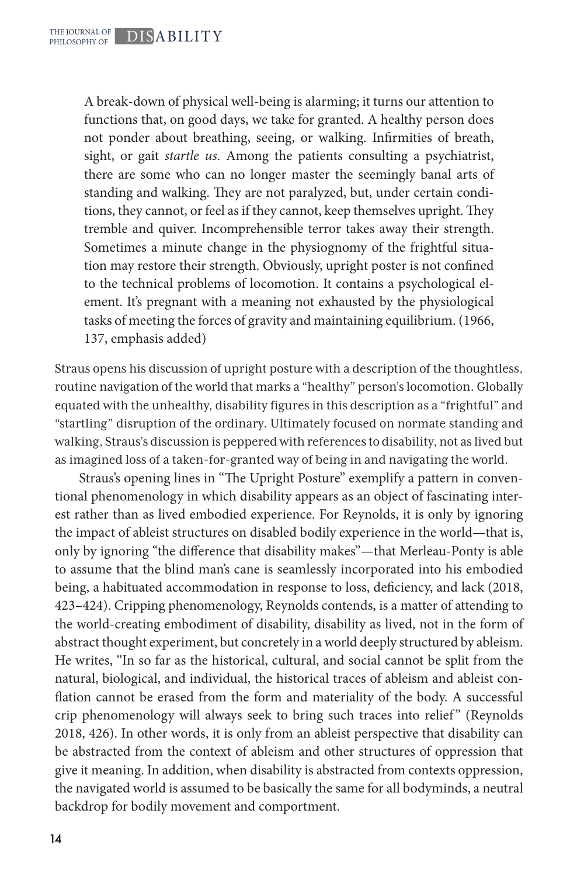A break-down of physical well-being is alarming; it turns our attention to functions that, on good days, we take for granted. A healthy person does not ponder about breathing, seeing, or walking. Infirmities of breath, sight, or gait *startle us*. Among the patients consulting a psychiatrist, there are some who can no longer master the seemingly banal arts of standing and walking. They are not paralyzed, but, under certain conditions, they cannot, or feel as if they cannot, keep themselves upright. They tremble and quiver. Incomprehensible terror takes away their strength. Sometimes a minute change in the physiognomy of the frightful situation may restore their strength. Obviously, upright poster is not confined to the technical problems of locomotion. It contains a psychological element. It's pregnant with a meaning not exhausted by the physiological tasks of meeting the forces of gravity and maintaining equilibrium. (1966, 137, emphasis added)

Straus opens his discussion of upright posture with a description of the thoughtless, routine navigation of the world that marks a "healthy" person's locomotion. Globally equated with the unhealthy, disability figures in this description as a "frightful" and "startling" disruption of the ordinary. Ultimately focused on normate standing and walking, Straus's discussion is peppered with references to disability, not as lived but as imagined loss of a taken-for-granted way of being in and navigating the world.

Straus's opening lines in "The Upright Posture" exemplify a pattern in conventional phenomenology in which disability appears as an object of fascinating interest rather than as lived embodied experience. For Reynolds, it is only by ignoring the impact of ableist structures on disabled bodily experience in the world—that is, only by ignoring "the difference that disability makes"—that Merleau-Ponty is able to assume that the blind man's cane is seamlessly incorporated into his embodied being, a habituated accommodation in response to loss, deficiency, and lack (2018, 423–424). Cripping phenomenology, Reynolds contends, is a matter of attending to the world-creating embodiment of disability, disability as lived, not in the form of abstract thought experiment, but concretely in a world deeply structured by ableism. He writes, "In so far as the historical, cultural, and social cannot be split from the natural, biological, and individual, the historical traces of ableism and ableist conflation cannot be erased from the form and materiality of the body. A successful crip phenomenology will always seek to bring such traces into relief" (Reynolds 2018, 426). In other words, it is only from an ableist perspective that disability can be abstracted from the context of ableism and other structures of oppression that give it meaning. In addition, when disability is abstracted from contexts oppression, the navigated world is assumed to be basically the same for all bodyminds, a neutral backdrop for bodily movement and comportment.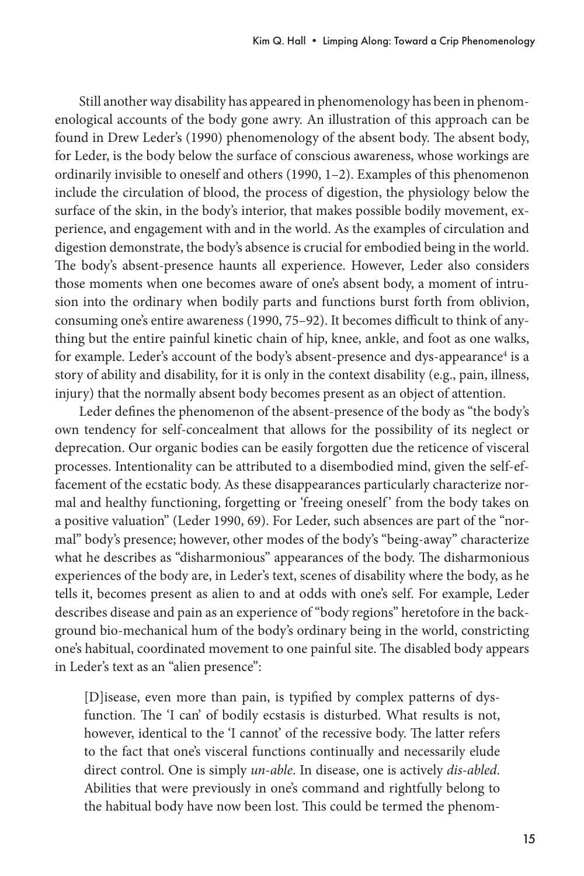Still another way disability has appeared in phenomenology has been in phenomenological accounts of the body gone awry. An illustration of this approach can be found in Drew Leder's (1990) phenomenology of the absent body. The absent body, for Leder, is the body below the surface of conscious awareness, whose workings are ordinarily invisible to oneself and others (1990, 1–2). Examples of this phenomenon include the circulation of blood, the process of digestion, the physiology below the surface of the skin, in the body's interior, that makes possible bodily movement, experience, and engagement with and in the world. As the examples of circulation and digestion demonstrate, the body's absence is crucial for embodied being in the world. The body's absent-presence haunts all experience. However, Leder also considers those moments when one becomes aware of one's absent body, a moment of intrusion into the ordinary when bodily parts and functions burst forth from oblivion, consuming one's entire awareness (1990, 75–92). It becomes difficult to think of anything but the entire painful kinetic chain of hip, knee, ankle, and foot as one walks, for example. Leder's account of the body's absent-presence and dys-appearance<sup>4</sup> is a story of ability and disability, for it is only in the context disability (e.g., pain, illness, injury) that the normally absent body becomes present as an object of attention.

Leder defines the phenomenon of the absent-presence of the body as "the body's own tendency for self-concealment that allows for the possibility of its neglect or deprecation. Our organic bodies can be easily forgotten due the reticence of visceral processes. Intentionality can be attributed to a disembodied mind, given the self-effacement of the ecstatic body. As these disappearances particularly characterize normal and healthy functioning, forgetting or 'freeing oneself' from the body takes on a positive valuation" (Leder 1990, 69). For Leder, such absences are part of the "normal" body's presence; however, other modes of the body's "being-away" characterize what he describes as "disharmonious" appearances of the body. The disharmonious experiences of the body are, in Leder's text, scenes of disability where the body, as he tells it, becomes present as alien to and at odds with one's self. For example, Leder describes disease and pain as an experience of "body regions" heretofore in the background bio-mechanical hum of the body's ordinary being in the world, constricting one's habitual, coordinated movement to one painful site. The disabled body appears in Leder's text as an "alien presence":

[D]isease, even more than pain, is typified by complex patterns of dysfunction. The 'I can' of bodily ecstasis is disturbed. What results is not, however, identical to the 'I cannot' of the recessive body. The latter refers to the fact that one's visceral functions continually and necessarily elude direct control. One is simply *un-able*. In disease, one is actively *dis-abled*. Abilities that were previously in one's command and rightfully belong to the habitual body have now been lost. This could be termed the phenom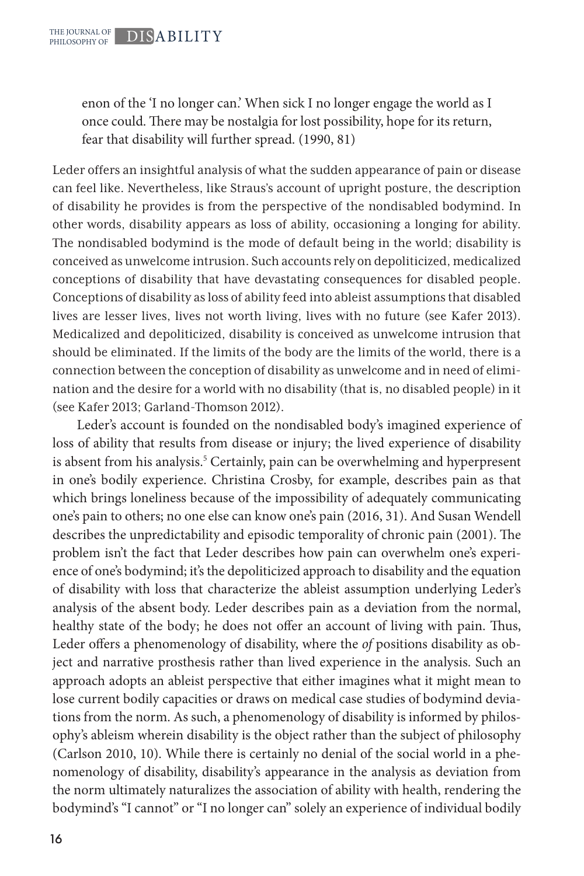enon of the 'I no longer can.' When sick I no longer engage the world as I once could. There may be nostalgia for lost possibility, hope for its return, fear that disability will further spread. (1990, 81)

Leder offers an insightful analysis of what the sudden appearance of pain or disease can feel like. Nevertheless, like Straus's account of upright posture, the description of disability he provides is from the perspective of the nondisabled bodymind. In other words, disability appears as loss of ability, occasioning a longing for ability. The nondisabled bodymind is the mode of default being in the world; disability is conceived as unwelcome intrusion. Such accounts rely on depoliticized, medicalized conceptions of disability that have devastating consequences for disabled people. Conceptions of disability as loss of ability feed into ableist assumptions that disabled lives are lesser lives, lives not worth living, lives with no future (see Kafer 2013). Medicalized and depoliticized, disability is conceived as unwelcome intrusion that should be eliminated. If the limits of the body are the limits of the world, there is a connection between the conception of disability as unwelcome and in need of elimination and the desire for a world with no disability (that is, no disabled people) in it (see Kafer 2013; Garland-Thomson 2012).

Leder's account is founded on the nondisabled body's imagined experience of loss of ability that results from disease or injury; the lived experience of disability is absent from his analysis.<sup>5</sup> Certainly, pain can be overwhelming and hyperpresent in one's bodily experience. Christina Crosby, for example, describes pain as that which brings loneliness because of the impossibility of adequately communicating one's pain to others; no one else can know one's pain (2016, 31). And Susan Wendell describes the unpredictability and episodic temporality of chronic pain (2001). The problem isn't the fact that Leder describes how pain can overwhelm one's experience of one's bodymind; it's the depoliticized approach to disability and the equation of disability with loss that characterize the ableist assumption underlying Leder's analysis of the absent body. Leder describes pain as a deviation from the normal, healthy state of the body; he does not offer an account of living with pain. Thus, Leder offers a phenomenology of disability, where the *of* positions disability as object and narrative prosthesis rather than lived experience in the analysis. Such an approach adopts an ableist perspective that either imagines what it might mean to lose current bodily capacities or draws on medical case studies of bodymind deviations from the norm. As such, a phenomenology of disability is informed by philosophy's ableism wherein disability is the object rather than the subject of philosophy (Carlson 2010, 10). While there is certainly no denial of the social world in a phenomenology of disability, disability's appearance in the analysis as deviation from the norm ultimately naturalizes the association of ability with health, rendering the bodymind's "I cannot" or "I no longer can" solely an experience of individual bodily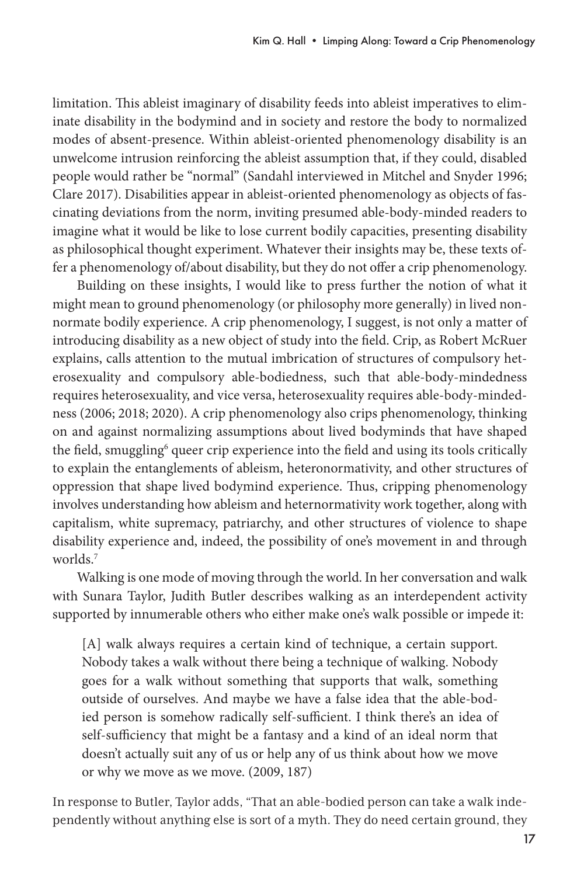limitation. This ableist imaginary of disability feeds into ableist imperatives to eliminate disability in the bodymind and in society and restore the body to normalized modes of absent-presence. Within ableist-oriented phenomenology disability is an unwelcome intrusion reinforcing the ableist assumption that, if they could, disabled people would rather be "normal" (Sandahl interviewed in Mitchel and Snyder 1996; Clare 2017). Disabilities appear in ableist-oriented phenomenology as objects of fascinating deviations from the norm, inviting presumed able-body-minded readers to imagine what it would be like to lose current bodily capacities, presenting disability as philosophical thought experiment. Whatever their insights may be, these texts offer a phenomenology of/about disability, but they do not offer a crip phenomenology.

Building on these insights, I would like to press further the notion of what it might mean to ground phenomenology (or philosophy more generally) in lived nonnormate bodily experience. A crip phenomenology, I suggest, is not only a matter of introducing disability as a new object of study into the field. Crip, as Robert McRuer explains, calls attention to the mutual imbrication of structures of compulsory heterosexuality and compulsory able-bodiedness, such that able-body-mindedness requires heterosexuality, and vice versa, heterosexuality requires able-body-mindedness (2006; 2018; 2020). A crip phenomenology also crips phenomenology, thinking on and against normalizing assumptions about lived bodyminds that have shaped the field, smuggling<sup>6</sup> queer crip experience into the field and using its tools critically to explain the entanglements of ableism, heteronormativity, and other structures of oppression that shape lived bodymind experience. Thus, cripping phenomenology involves understanding how ableism and heternormativity work together, along with capitalism, white supremacy, patriarchy, and other structures of violence to shape disability experience and, indeed, the possibility of one's movement in and through worlds.7

Walking is one mode of moving through the world. In her conversation and walk with Sunara Taylor, Judith Butler describes walking as an interdependent activity supported by innumerable others who either make one's walk possible or impede it:

[A] walk always requires a certain kind of technique, a certain support. Nobody takes a walk without there being a technique of walking. Nobody goes for a walk without something that supports that walk, something outside of ourselves. And maybe we have a false idea that the able-bodied person is somehow radically self-sufficient. I think there's an idea of self-sufficiency that might be a fantasy and a kind of an ideal norm that doesn't actually suit any of us or help any of us think about how we move or why we move as we move. (2009, 187)

In response to Butler, Taylor adds, "That an able-bodied person can take a walk independently without anything else is sort of a myth. They do need certain ground, they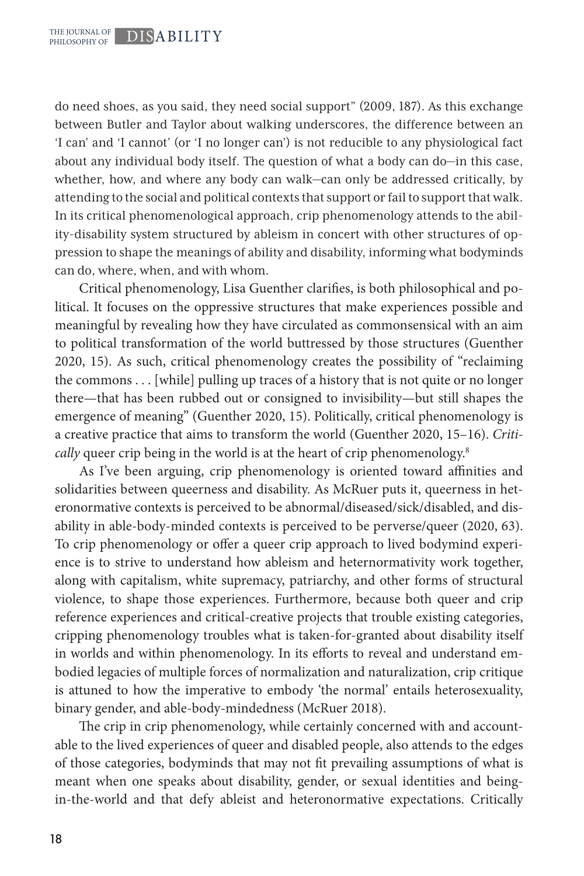do need shoes, as you said, they need social support" (2009, 187). As this exchange between Butler and Taylor about walking underscores, the difference between an 'I can' and 'I cannot' (or 'I no longer can') is not reducible to any physiological fact about any individual body itself. The question of what a body can do—in this case, whether, how, and where any body can walk—can only be addressed critically, by attending to the social and political contexts that support or fail to support that walk. In its critical phenomenological approach, crip phenomenology attends to the ability-disability system structured by ableism in concert with other structures of oppression to shape the meanings of ability and disability, informing what bodyminds can do, where, when, and with whom.

Critical phenomenology, Lisa Guenther clarifies, is both philosophical and political. It focuses on the oppressive structures that make experiences possible and meaningful by revealing how they have circulated as commonsensical with an aim to political transformation of the world buttressed by those structures (Guenther 2020, 15). As such, critical phenomenology creates the possibility of "reclaiming the commons . . . [while] pulling up traces of a history that is not quite or no longer there—that has been rubbed out or consigned to invisibility—but still shapes the emergence of meaning" (Guenther 2020, 15). Politically, critical phenomenology is a creative practice that aims to transform the world (Guenther 2020, 15–16). *Critically* queer crip being in the world is at the heart of crip phenomenology.<sup>8</sup>

As I've been arguing, crip phenomenology is oriented toward affinities and solidarities between queerness and disability. As McRuer puts it, queerness in heteronormative contexts is perceived to be abnormal/diseased/sick/disabled, and disability in able-body-minded contexts is perceived to be perverse/queer (2020, 63). To crip phenomenology or offer a queer crip approach to lived bodymind experience is to strive to understand how ableism and heternormativity work together, along with capitalism, white supremacy, patriarchy, and other forms of structural violence, to shape those experiences. Furthermore, because both queer and crip reference experiences and critical-creative projects that trouble existing categories, cripping phenomenology troubles what is taken-for-granted about disability itself in worlds and within phenomenology. In its efforts to reveal and understand embodied legacies of multiple forces of normalization and naturalization, crip critique is attuned to how the imperative to embody 'the normal' entails heterosexuality, binary gender, and able-body-mindedness (McRuer 2018).

The crip in crip phenomenology, while certainly concerned with and accountable to the lived experiences of queer and disabled people, also attends to the edges of those categories, bodyminds that may not fit prevailing assumptions of what is meant when one speaks about disability, gender, or sexual identities and beingin-the-world and that defy ableist and heteronormative expectations. Critically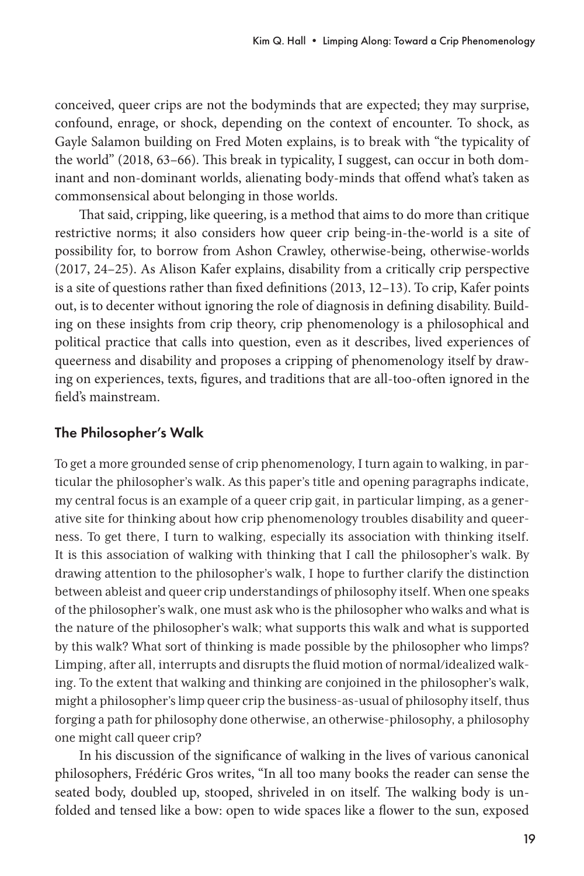conceived, queer crips are not the bodyminds that are expected; they may surprise, confound, enrage, or shock, depending on the context of encounter. To shock, as Gayle Salamon building on Fred Moten explains, is to break with "the typicality of the world" (2018, 63–66). This break in typicality, I suggest, can occur in both dominant and non-dominant worlds, alienating body-minds that offend what's taken as commonsensical about belonging in those worlds.

That said, cripping, like queering, is a method that aims to do more than critique restrictive norms; it also considers how queer crip being-in-the-world is a site of possibility for, to borrow from Ashon Crawley, otherwise-being, otherwise-worlds (2017, 24–25). As Alison Kafer explains, disability from a critically crip perspective is a site of questions rather than fixed definitions (2013, 12–13). To crip, Kafer points out, is to decenter without ignoring the role of diagnosis in defining disability. Building on these insights from crip theory, crip phenomenology is a philosophical and political practice that calls into question, even as it describes, lived experiences of queerness and disability and proposes a cripping of phenomenology itself by drawing on experiences, texts, figures, and traditions that are all-too-often ignored in the field's mainstream.

# The Philosopher's Walk

To get a more grounded sense of crip phenomenology, I turn again to walking, in particular the philosopher's walk. As this paper's title and opening paragraphs indicate, my central focus is an example of a queer crip gait, in particular limping, as a generative site for thinking about how crip phenomenology troubles disability and queerness. To get there, I turn to walking, especially its association with thinking itself. It is this association of walking with thinking that I call the philosopher's walk. By drawing attention to the philosopher's walk, I hope to further clarify the distinction between ableist and queer crip understandings of philosophy itself. When one speaks of the philosopher's walk, one must ask who is the philosopher who walks and what is the nature of the philosopher's walk; what supports this walk and what is supported by this walk? What sort of thinking is made possible by the philosopher who limps? Limping, after all, interrupts and disrupts the fluid motion of normal/idealized walking. To the extent that walking and thinking are conjoined in the philosopher's walk, might a philosopher's limp queer crip the business-as-usual of philosophy itself, thus forging a path for philosophy done otherwise, an otherwise-philosophy, a philosophy one might call queer crip?

In his discussion of the significance of walking in the lives of various canonical philosophers, Frédéric Gros writes, "In all too many books the reader can sense the seated body, doubled up, stooped, shriveled in on itself. The walking body is unfolded and tensed like a bow: open to wide spaces like a flower to the sun, exposed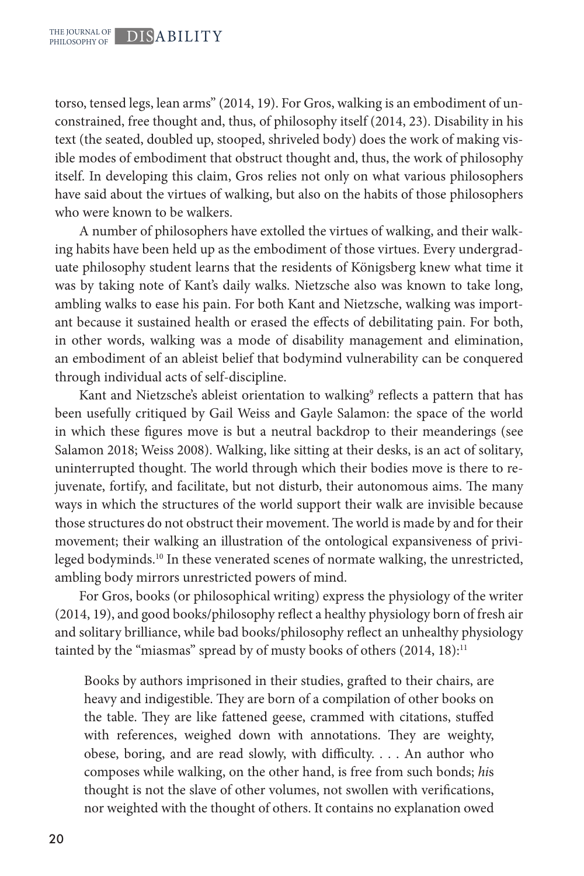torso, tensed legs, lean arms" (2014, 19). For Gros, walking is an embodiment of unconstrained, free thought and, thus, of philosophy itself (2014, 23). Disability in his text (the seated, doubled up, stooped, shriveled body) does the work of making visible modes of embodiment that obstruct thought and, thus, the work of philosophy itself. In developing this claim, Gros relies not only on what various philosophers have said about the virtues of walking, but also on the habits of those philosophers who were known to be walkers.

A number of philosophers have extolled the virtues of walking, and their walking habits have been held up as the embodiment of those virtues. Every undergraduate philosophy student learns that the residents of Königsberg knew what time it was by taking note of Kant's daily walks. Nietzsche also was known to take long, ambling walks to ease his pain. For both Kant and Nietzsche, walking was important because it sustained health or erased the effects of debilitating pain. For both, in other words, walking was a mode of disability management and elimination, an embodiment of an ableist belief that bodymind vulnerability can be conquered through individual acts of self-discipline.

Kant and Nietzsche's ableist orientation to walking<sup>9</sup> reflects a pattern that has been usefully critiqued by Gail Weiss and Gayle Salamon: the space of the world in which these figures move is but a neutral backdrop to their meanderings (see Salamon 2018; Weiss 2008). Walking, like sitting at their desks, is an act of solitary, uninterrupted thought. The world through which their bodies move is there to rejuvenate, fortify, and facilitate, but not disturb, their autonomous aims. The many ways in which the structures of the world support their walk are invisible because those structures do not obstruct their movement. The world is made by and for their movement; their walking an illustration of the ontological expansiveness of privileged bodyminds.10 In these venerated scenes of normate walking, the unrestricted, ambling body mirrors unrestricted powers of mind.

For Gros, books (or philosophical writing) express the physiology of the writer (2014, 19), and good books/philosophy reflect a healthy physiology born of fresh air and solitary brilliance, while bad books/philosophy reflect an unhealthy physiology tainted by the "miasmas" spread by of musty books of others (2014, 18):11

Books by authors imprisoned in their studies, grafted to their chairs, are heavy and indigestible. They are born of a compilation of other books on the table. They are like fattened geese, crammed with citations, stuffed with references, weighed down with annotations. They are weighty, obese, boring, and are read slowly, with difficulty. . . . An author who composes while walking, on the other hand, is free from such bonds; *hi*s thought is not the slave of other volumes, not swollen with verifications, nor weighted with the thought of others. It contains no explanation owed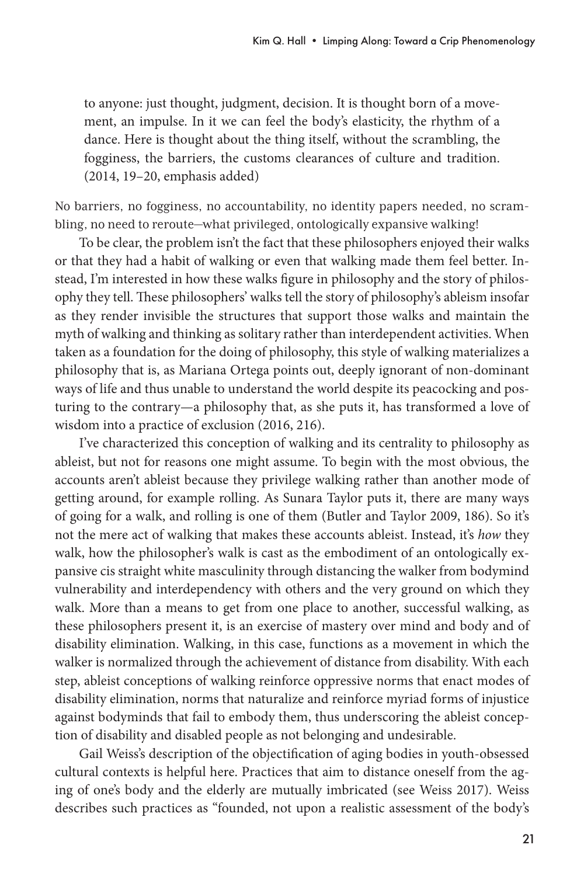to anyone: just thought, judgment, decision. It is thought born of a movement, an impulse. In it we can feel the body's elasticity, the rhythm of a dance. Here is thought about the thing itself, without the scrambling, the fogginess, the barriers, the customs clearances of culture and tradition. (2014, 19–20, emphasis added)

No barriers, no fogginess, no accountability, no identity papers needed, no scrambling, no need to reroute—what privileged, ontologically expansive walking!

To be clear, the problem isn't the fact that these philosophers enjoyed their walks or that they had a habit of walking or even that walking made them feel better. Instead, I'm interested in how these walks figure in philosophy and the story of philosophy they tell. These philosophers' walks tell the story of philosophy's ableism insofar as they render invisible the structures that support those walks and maintain the myth of walking and thinking as solitary rather than interdependent activities. When taken as a foundation for the doing of philosophy, this style of walking materializes a philosophy that is, as Mariana Ortega points out, deeply ignorant of non-dominant ways of life and thus unable to understand the world despite its peacocking and posturing to the contrary—a philosophy that, as she puts it, has transformed a love of wisdom into a practice of exclusion (2016, 216).

I've characterized this conception of walking and its centrality to philosophy as ableist, but not for reasons one might assume. To begin with the most obvious, the accounts aren't ableist because they privilege walking rather than another mode of getting around, for example rolling. As Sunara Taylor puts it, there are many ways of going for a walk, and rolling is one of them (Butler and Taylor 2009, 186). So it's not the mere act of walking that makes these accounts ableist. Instead, it's *how* they walk, how the philosopher's walk is cast as the embodiment of an ontologically expansive cis straight white masculinity through distancing the walker from bodymind vulnerability and interdependency with others and the very ground on which they walk. More than a means to get from one place to another, successful walking, as these philosophers present it, is an exercise of mastery over mind and body and of disability elimination. Walking, in this case, functions as a movement in which the walker is normalized through the achievement of distance from disability. With each step, ableist conceptions of walking reinforce oppressive norms that enact modes of disability elimination, norms that naturalize and reinforce myriad forms of injustice against bodyminds that fail to embody them, thus underscoring the ableist conception of disability and disabled people as not belonging and undesirable.

Gail Weiss's description of the objectification of aging bodies in youth-obsessed cultural contexts is helpful here. Practices that aim to distance oneself from the aging of one's body and the elderly are mutually imbricated (see Weiss 2017). Weiss describes such practices as "founded, not upon a realistic assessment of the body's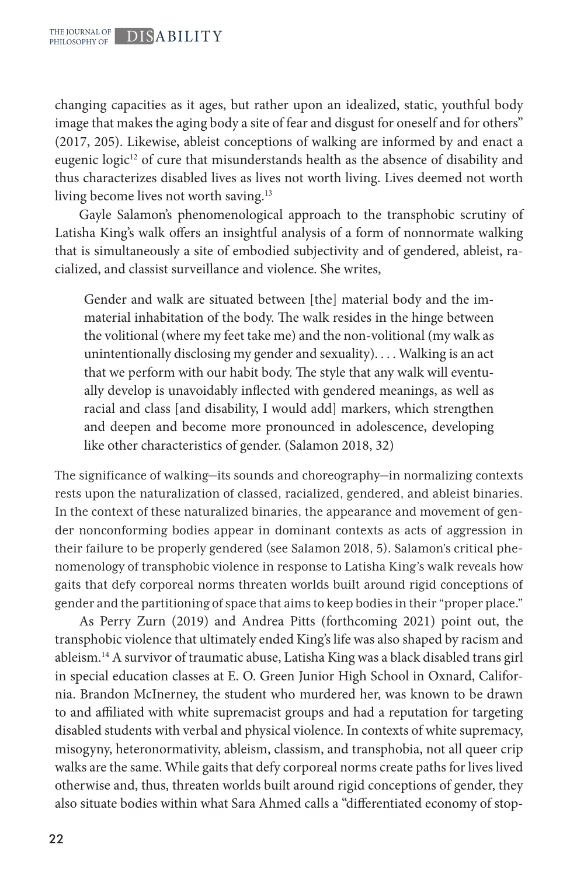changing capacities as it ages, but rather upon an idealized, static, youthful body image that makes the aging body a site of fear and disgust for oneself and for others" (2017, 205). Likewise, ableist conceptions of walking are informed by and enact a eugenic logic<sup>12</sup> of cure that misunderstands health as the absence of disability and thus characterizes disabled lives as lives not worth living. Lives deemed not worth living become lives not worth saving.<sup>13</sup>

Gayle Salamon's phenomenological approach to the transphobic scrutiny of Latisha King's walk offers an insightful analysis of a form of nonnormate walking that is simultaneously a site of embodied subjectivity and of gendered, ableist, racialized, and classist surveillance and violence. She writes,

Gender and walk are situated between [the] material body and the immaterial inhabitation of the body. The walk resides in the hinge between the volitional (where my feet take me) and the non-volitional (my walk as unintentionally disclosing my gender and sexuality). . . . Walking is an act that we perform with our habit body. The style that any walk will eventually develop is unavoidably inflected with gendered meanings, as well as racial and class [and disability, I would add] markers, which strengthen and deepen and become more pronounced in adolescence, developing like other characteristics of gender. (Salamon 2018, 32)

The significance of walking—its sounds and choreography—in normalizing contexts rests upon the naturalization of classed, racialized, gendered, and ableist binaries. In the context of these naturalized binaries, the appearance and movement of gender nonconforming bodies appear in dominant contexts as acts of aggression in their failure to be properly gendered (see Salamon 2018, 5). Salamon's critical phenomenology of transphobic violence in response to Latisha King's walk reveals how gaits that defy corporeal norms threaten worlds built around rigid conceptions of gender and the partitioning of space that aims to keep bodies in their "proper place."

As Perry Zurn (2019) and Andrea Pitts (forthcoming 2021) point out, the transphobic violence that ultimately ended King's life was also shaped by racism and ableism.14 A survivor of traumatic abuse, Latisha King was a black disabled trans girl in special education classes at E. O. Green Junior High School in Oxnard, California. Brandon McInerney, the student who murdered her, was known to be drawn to and affiliated with white supremacist groups and had a reputation for targeting disabled students with verbal and physical violence. In contexts of white supremacy, misogyny, heteronormativity, ableism, classism, and transphobia, not all queer crip walks are the same. While gaits that defy corporeal norms create paths for lives lived otherwise and, thus, threaten worlds built around rigid conceptions of gender, they also situate bodies within what Sara Ahmed calls a "differentiated economy of stop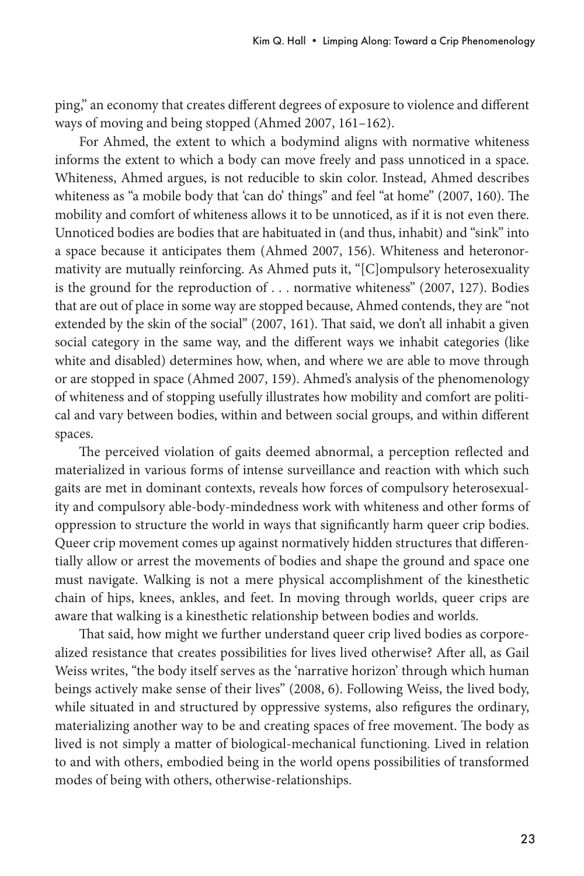ping," an economy that creates different degrees of exposure to violence and different ways of moving and being stopped (Ahmed 2007, 161–162).

For Ahmed, the extent to which a bodymind aligns with normative whiteness informs the extent to which a body can move freely and pass unnoticed in a space. Whiteness, Ahmed argues, is not reducible to skin color. Instead, Ahmed describes whiteness as "a mobile body that 'can do' things" and feel "at home" (2007, 160). The mobility and comfort of whiteness allows it to be unnoticed, as if it is not even there. Unnoticed bodies are bodies that are habituated in (and thus, inhabit) and "sink" into a space because it anticipates them (Ahmed 2007, 156). Whiteness and heteronormativity are mutually reinforcing. As Ahmed puts it, "[C]ompulsory heterosexuality is the ground for the reproduction of . . . normative whiteness" (2007, 127). Bodies that are out of place in some way are stopped because, Ahmed contends, they are "not extended by the skin of the social" (2007, 161). That said, we don't all inhabit a given social category in the same way, and the different ways we inhabit categories (like white and disabled) determines how, when, and where we are able to move through or are stopped in space (Ahmed 2007, 159). Ahmed's analysis of the phenomenology of whiteness and of stopping usefully illustrates how mobility and comfort are political and vary between bodies, within and between social groups, and within different spaces.

The perceived violation of gaits deemed abnormal, a perception reflected and materialized in various forms of intense surveillance and reaction with which such gaits are met in dominant contexts, reveals how forces of compulsory heterosexuality and compulsory able-body-mindedness work with whiteness and other forms of oppression to structure the world in ways that significantly harm queer crip bodies. Queer crip movement comes up against normatively hidden structures that differentially allow or arrest the movements of bodies and shape the ground and space one must navigate. Walking is not a mere physical accomplishment of the kinesthetic chain of hips, knees, ankles, and feet. In moving through worlds, queer crips are aware that walking is a kinesthetic relationship between bodies and worlds.

That said, how might we further understand queer crip lived bodies as corporealized resistance that creates possibilities for lives lived otherwise? After all, as Gail Weiss writes, "the body itself serves as the 'narrative horizon' through which human beings actively make sense of their lives" (2008, 6). Following Weiss, the lived body, while situated in and structured by oppressive systems, also refigures the ordinary, materializing another way to be and creating spaces of free movement. The body as lived is not simply a matter of biological-mechanical functioning. Lived in relation to and with others, embodied being in the world opens possibilities of transformed modes of being with others, otherwise-relationships.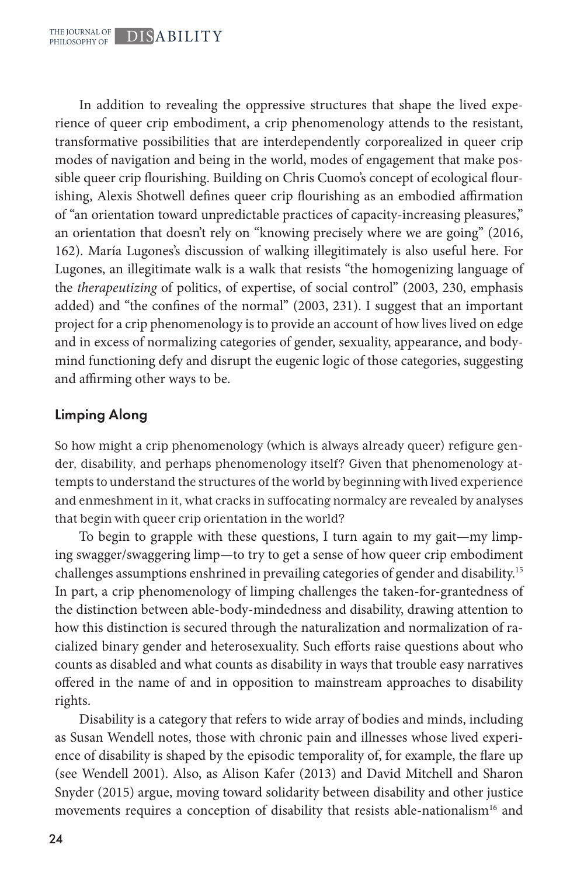In addition to revealing the oppressive structures that shape the lived experience of queer crip embodiment, a crip phenomenology attends to the resistant, transformative possibilities that are interdependently corporealized in queer crip modes of navigation and being in the world, modes of engagement that make possible queer crip flourishing. Building on Chris Cuomo's concept of ecological flourishing, Alexis Shotwell defines queer crip flourishing as an embodied affirmation of "an orientation toward unpredictable practices of capacity-increasing pleasures," an orientation that doesn't rely on "knowing precisely where we are going" (2016, 162). María Lugones's discussion of walking illegitimately is also useful here. For Lugones, an illegitimate walk is a walk that resists "the homogenizing language of the *therapeutizing* of politics, of expertise, of social control" (2003, 230, emphasis added) and "the confines of the normal" (2003, 231). I suggest that an important project for a crip phenomenology is to provide an account of how lives lived on edge and in excess of normalizing categories of gender, sexuality, appearance, and bodymind functioning defy and disrupt the eugenic logic of those categories, suggesting and affirming other ways to be.

# Limping Along

So how might a crip phenomenology (which is always already queer) refigure gender, disability, and perhaps phenomenology itself? Given that phenomenology attempts to understand the structures of the world by beginning with lived experience and enmeshment in it, what cracks in suffocating normalcy are revealed by analyses that begin with queer crip orientation in the world?

To begin to grapple with these questions, I turn again to my gait—my limping swagger/swaggering limp—to try to get a sense of how queer crip embodiment challenges assumptions enshrined in prevailing categories of gender and disability.15 In part, a crip phenomenology of limping challenges the taken-for-grantedness of the distinction between able-body-mindedness and disability, drawing attention to how this distinction is secured through the naturalization and normalization of racialized binary gender and heterosexuality. Such efforts raise questions about who counts as disabled and what counts as disability in ways that trouble easy narratives offered in the name of and in opposition to mainstream approaches to disability rights.

Disability is a category that refers to wide array of bodies and minds, including as Susan Wendell notes, those with chronic pain and illnesses whose lived experience of disability is shaped by the episodic temporality of, for example, the flare up (see Wendell 2001). Also, as Alison Kafer (2013) and David Mitchell and Sharon Snyder (2015) argue, moving toward solidarity between disability and other justice movements requires a conception of disability that resists able-nationalism<sup>16</sup> and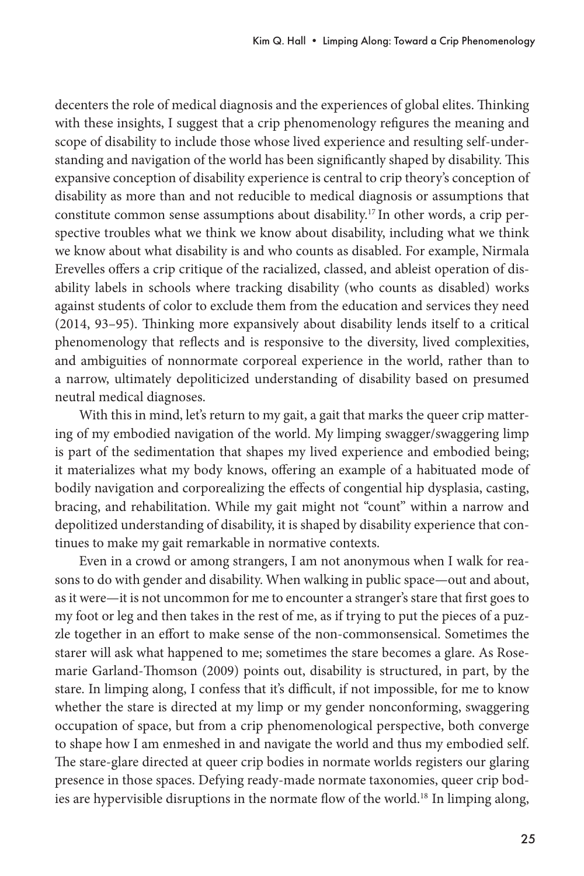decenters the role of medical diagnosis and the experiences of global elites. Thinking with these insights, I suggest that a crip phenomenology refigures the meaning and scope of disability to include those whose lived experience and resulting self-understanding and navigation of the world has been significantly shaped by disability. This expansive conception of disability experience is central to crip theory's conception of disability as more than and not reducible to medical diagnosis or assumptions that constitute common sense assumptions about disability.17 In other words, a crip perspective troubles what we think we know about disability, including what we think we know about what disability is and who counts as disabled. For example, Nirmala Erevelles offers a crip critique of the racialized, classed, and ableist operation of disability labels in schools where tracking disability (who counts as disabled) works against students of color to exclude them from the education and services they need (2014, 93–95). Thinking more expansively about disability lends itself to a critical phenomenology that reflects and is responsive to the diversity, lived complexities, and ambiguities of nonnormate corporeal experience in the world, rather than to a narrow, ultimately depoliticized understanding of disability based on presumed neutral medical diagnoses.

With this in mind, let's return to my gait, a gait that marks the queer crip mattering of my embodied navigation of the world. My limping swagger/swaggering limp is part of the sedimentation that shapes my lived experience and embodied being; it materializes what my body knows, offering an example of a habituated mode of bodily navigation and corporealizing the effects of congential hip dysplasia, casting, bracing, and rehabilitation. While my gait might not "count" within a narrow and depolitized understanding of disability, it is shaped by disability experience that continues to make my gait remarkable in normative contexts.

Even in a crowd or among strangers, I am not anonymous when I walk for reasons to do with gender and disability. When walking in public space—out and about, as it were—it is not uncommon for me to encounter a stranger's stare that first goes to my foot or leg and then takes in the rest of me, as if trying to put the pieces of a puzzle together in an effort to make sense of the non-commonsensical. Sometimes the starer will ask what happened to me; sometimes the stare becomes a glare. As Rosemarie Garland-Thomson (2009) points out, disability is structured, in part, by the stare. In limping along, I confess that it's difficult, if not impossible, for me to know whether the stare is directed at my limp or my gender nonconforming, swaggering occupation of space, but from a crip phenomenological perspective, both converge to shape how I am enmeshed in and navigate the world and thus my embodied self. The stare-glare directed at queer crip bodies in normate worlds registers our glaring presence in those spaces. Defying ready-made normate taxonomies, queer crip bodies are hypervisible disruptions in the normate flow of the world.<sup>18</sup> In limping along,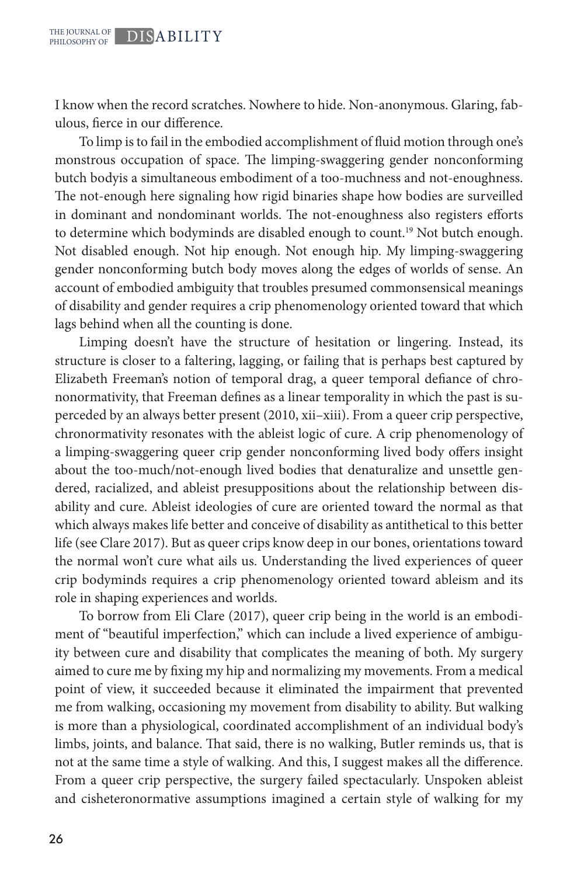I know when the record scratches. Nowhere to hide. Non-anonymous. Glaring, fabulous, fierce in our difference.

To limp is to fail in the embodied accomplishment of fluid motion through one's monstrous occupation of space. The limping-swaggering gender nonconforming butch bodyis a simultaneous embodiment of a too-muchness and not-enoughness. The not-enough here signaling how rigid binaries shape how bodies are surveilled in dominant and nondominant worlds. The not-enoughness also registers efforts to determine which bodyminds are disabled enough to count.<sup>19</sup> Not butch enough. Not disabled enough. Not hip enough. Not enough hip. My limping-swaggering gender nonconforming butch body moves along the edges of worlds of sense. An account of embodied ambiguity that troubles presumed commonsensical meanings of disability and gender requires a crip phenomenology oriented toward that which lags behind when all the counting is done.

Limping doesn't have the structure of hesitation or lingering. Instead, its structure is closer to a faltering, lagging, or failing that is perhaps best captured by Elizabeth Freeman's notion of temporal drag, a queer temporal defiance of chrononormativity, that Freeman defines as a linear temporality in which the past is superceded by an always better present (2010, xii–xiii). From a queer crip perspective, chronormativity resonates with the ableist logic of cure. A crip phenomenology of a limping-swaggering queer crip gender nonconforming lived body offers insight about the too-much/not-enough lived bodies that denaturalize and unsettle gendered, racialized, and ableist presuppositions about the relationship between disability and cure. Ableist ideologies of cure are oriented toward the normal as that which always makes life better and conceive of disability as antithetical to this better life (see Clare 2017). But as queer crips know deep in our bones, orientations toward the normal won't cure what ails us. Understanding the lived experiences of queer crip bodyminds requires a crip phenomenology oriented toward ableism and its role in shaping experiences and worlds.

To borrow from Eli Clare (2017), queer crip being in the world is an embodiment of "beautiful imperfection," which can include a lived experience of ambiguity between cure and disability that complicates the meaning of both. My surgery aimed to cure me by fixing my hip and normalizing my movements. From a medical point of view, it succeeded because it eliminated the impairment that prevented me from walking, occasioning my movement from disability to ability. But walking is more than a physiological, coordinated accomplishment of an individual body's limbs, joints, and balance. That said, there is no walking, Butler reminds us, that is not at the same time a style of walking. And this, I suggest makes all the difference. From a queer crip perspective, the surgery failed spectacularly. Unspoken ableist and cisheteronormative assumptions imagined a certain style of walking for my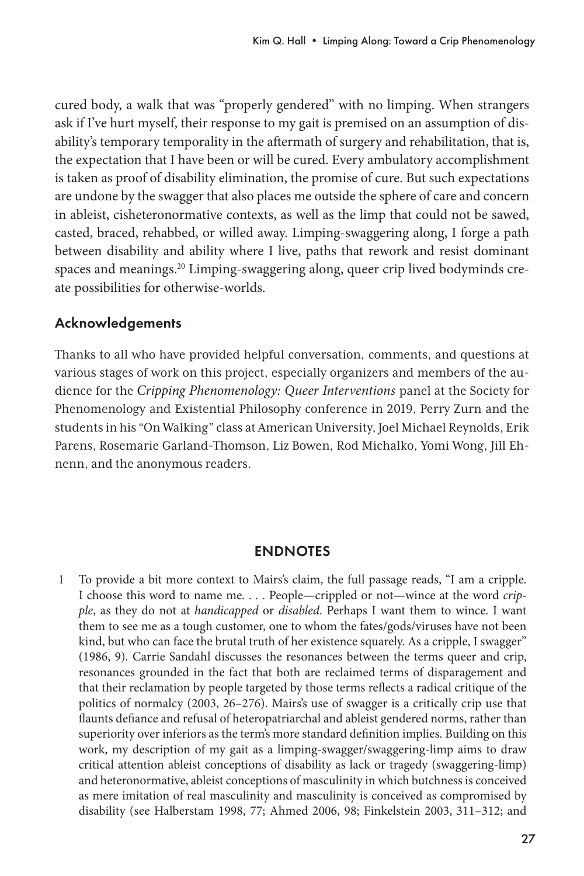cured body, a walk that was "properly gendered" with no limping. When strangers ask if I've hurt myself, their response to my gait is premised on an assumption of disability's temporary temporality in the aftermath of surgery and rehabilitation, that is, the expectation that I have been or will be cured. Every ambulatory accomplishment is taken as proof of disability elimination, the promise of cure. But such expectations are undone by the swagger that also places me outside the sphere of care and concern in ableist, cisheteronormative contexts, as well as the limp that could not be sawed, casted, braced, rehabbed, or willed away. Limping-swaggering along, I forge a path between disability and ability where I live, paths that rework and resist dominant spaces and meanings.<sup>20</sup> Limping-swaggering along, queer crip lived bodyminds create possibilities for otherwise-worlds.

#### Acknowledgements

Thanks to all who have provided helpful conversation, comments, and questions at various stages of work on this project, especially organizers and members of the audience for the *Cripping Phenomenology: Queer Interventions* panel at the Society for Phenomenology and Existential Philosophy conference in 2019, Perry Zurn and the students in his "On Walking" class at American University, Joel Michael Reynolds, Erik Parens, Rosemarie Garland-Thomson, Liz Bowen, Rod Michalko, Yomi Wong, Jill Ehnenn, and the anonymous readers.

#### ENDNOTES

1 To provide a bit more context to Mairs's claim, the full passage reads, "I am a cripple. I choose this word to name me. . . . People—crippled or not—wince at the word *cripple*, as they do not at *handicapped* or *disabled*. Perhaps I want them to wince. I want them to see me as a tough customer, one to whom the fates/gods/viruses have not been kind, but who can face the brutal truth of her existence squarely. As a cripple, I swagger" (1986, 9). Carrie Sandahl discusses the resonances between the terms queer and crip, resonances grounded in the fact that both are reclaimed terms of disparagement and that their reclamation by people targeted by those terms reflects a radical critique of the politics of normalcy (2003, 26–276). Mairs's use of swagger is a critically crip use that flaunts defiance and refusal of heteropatriarchal and ableist gendered norms, rather than superiority over inferiors as the term's more standard definition implies. Building on this work, my description of my gait as a limping-swagger/swaggering-limp aims to draw critical attention ableist conceptions of disability as lack or tragedy (swaggering-limp) and heteronormative, ableist conceptions of masculinity in which butchness is conceived as mere imitation of real masculinity and masculinity is conceived as compromised by disability (see Halberstam 1998, 77; Ahmed 2006, 98; Finkelstein 2003, 311–312; and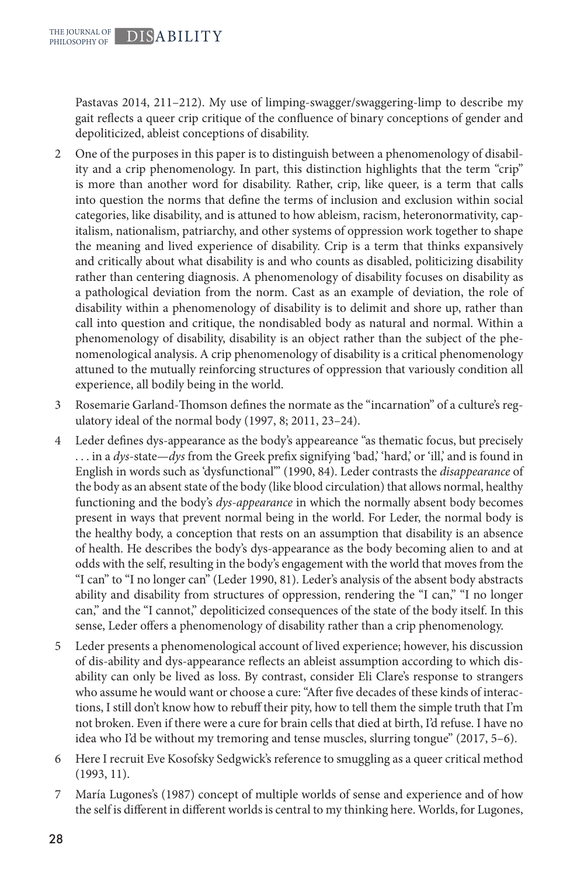Pastavas 2014, 211–212). My use of limping-swagger/swaggering-limp to describe my gait reflects a queer crip critique of the confluence of binary conceptions of gender and depoliticized, ableist conceptions of disability.

- 2 One of the purposes in this paper is to distinguish between a phenomenology of disability and a crip phenomenology. In part, this distinction highlights that the term "crip" is more than another word for disability. Rather, crip, like queer, is a term that calls into question the norms that define the terms of inclusion and exclusion within social categories, like disability, and is attuned to how ableism, racism, heteronormativity, capitalism, nationalism, patriarchy, and other systems of oppression work together to shape the meaning and lived experience of disability. Crip is a term that thinks expansively and critically about what disability is and who counts as disabled, politicizing disability rather than centering diagnosis. A phenomenology of disability focuses on disability as a pathological deviation from the norm. Cast as an example of deviation, the role of disability within a phenomenology of disability is to delimit and shore up, rather than call into question and critique, the nondisabled body as natural and normal. Within a phenomenology of disability, disability is an object rather than the subject of the phenomenological analysis. A crip phenomenology of disability is a critical phenomenology attuned to the mutually reinforcing structures of oppression that variously condition all experience, all bodily being in the world.
- 3 Rosemarie Garland-Thomson defines the normate as the "incarnation" of a culture's regulatory ideal of the normal body (1997, 8; 2011, 23–24).
- 4 Leder defines dys-appearance as the body's appeareance "as thematic focus, but precisely . . . in a *dys*-state—*dys* from the Greek prefix signifying 'bad,' 'hard,' or 'ill,' and is found in English in words such as 'dysfunctional'" (1990, 84). Leder contrasts the *disappearance* of the body as an absent state of the body (like blood circulation) that allows normal, healthy functioning and the body's *dys-appearance* in which the normally absent body becomes present in ways that prevent normal being in the world. For Leder, the normal body is the healthy body, a conception that rests on an assumption that disability is an absence of health. He describes the body's dys-appearance as the body becoming alien to and at odds with the self, resulting in the body's engagement with the world that moves from the "I can" to "I no longer can" (Leder 1990, 81). Leder's analysis of the absent body abstracts ability and disability from structures of oppression, rendering the "I can," "I no longer can," and the "I cannot," depoliticized consequences of the state of the body itself. In this sense, Leder offers a phenomenology of disability rather than a crip phenomenology.
- 5 Leder presents a phenomenological account of lived experience; however, his discussion of dis-ability and dys-appearance reflects an ableist assumption according to which disability can only be lived as loss. By contrast, consider Eli Clare's response to strangers who assume he would want or choose a cure: "After five decades of these kinds of interactions, I still don't know how to rebuff their pity, how to tell them the simple truth that I'm not broken. Even if there were a cure for brain cells that died at birth, I'd refuse. I have no idea who I'd be without my tremoring and tense muscles, slurring tongue" (2017, 5–6).
- 6 Here I recruit Eve Kosofsky Sedgwick's reference to smuggling as a queer critical method (1993, 11).
- 7 María Lugones's (1987) concept of multiple worlds of sense and experience and of how the self is different in different worlds is central to my thinking here. Worlds, for Lugones,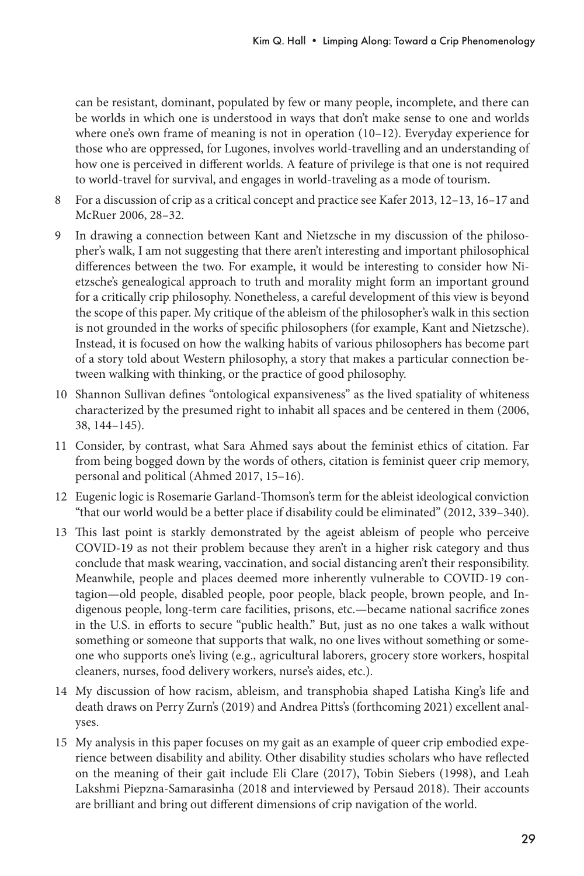can be resistant, dominant, populated by few or many people, incomplete, and there can be worlds in which one is understood in ways that don't make sense to one and worlds where one's own frame of meaning is not in operation (10–12). Everyday experience for those who are oppressed, for Lugones, involves world-travelling and an understanding of how one is perceived in different worlds. A feature of privilege is that one is not required to world-travel for survival, and engages in world-traveling as a mode of tourism.

- 8 For a discussion of crip as a critical concept and practice see Kafer 2013, 12–13, 16–17 and McRuer 2006, 28–32.
- 9 In drawing a connection between Kant and Nietzsche in my discussion of the philosopher's walk, I am not suggesting that there aren't interesting and important philosophical differences between the two. For example, it would be interesting to consider how Nietzsche's genealogical approach to truth and morality might form an important ground for a critically crip philosophy. Nonetheless, a careful development of this view is beyond the scope of this paper. My critique of the ableism of the philosopher's walk in this section is not grounded in the works of specific philosophers (for example, Kant and Nietzsche). Instead, it is focused on how the walking habits of various philosophers has become part of a story told about Western philosophy, a story that makes a particular connection between walking with thinking, or the practice of good philosophy.
- 10 Shannon Sullivan defines "ontological expansiveness" as the lived spatiality of whiteness characterized by the presumed right to inhabit all spaces and be centered in them (2006, 38, 144–145).
- 11 Consider, by contrast, what Sara Ahmed says about the feminist ethics of citation. Far from being bogged down by the words of others, citation is feminist queer crip memory, personal and political (Ahmed 2017, 15–16).
- 12 Eugenic logic is Rosemarie Garland-Thomson's term for the ableist ideological conviction "that our world would be a better place if disability could be eliminated" (2012, 339–340).
- 13 This last point is starkly demonstrated by the ageist ableism of people who perceive COVID-19 as not their problem because they aren't in a higher risk category and thus conclude that mask wearing, vaccination, and social distancing aren't their responsibility. Meanwhile, people and places deemed more inherently vulnerable to COVID-19 contagion—old people, disabled people, poor people, black people, brown people, and Indigenous people, long-term care facilities, prisons, etc.—became national sacrifice zones in the U.S. in efforts to secure "public health." But, just as no one takes a walk without something or someone that supports that walk, no one lives without something or someone who supports one's living (e.g., agricultural laborers, grocery store workers, hospital cleaners, nurses, food delivery workers, nurse's aides, etc.).
- 14 My discussion of how racism, ableism, and transphobia shaped Latisha King's life and death draws on Perry Zurn's (2019) and Andrea Pitts's (forthcoming 2021) excellent analyses.
- 15 My analysis in this paper focuses on my gait as an example of queer crip embodied experience between disability and ability. Other disability studies scholars who have reflected on the meaning of their gait include Eli Clare (2017), Tobin Siebers (1998), and Leah Lakshmi Piepzna-Samarasinha (2018 and interviewed by Persaud 2018). Their accounts are brilliant and bring out different dimensions of crip navigation of the world.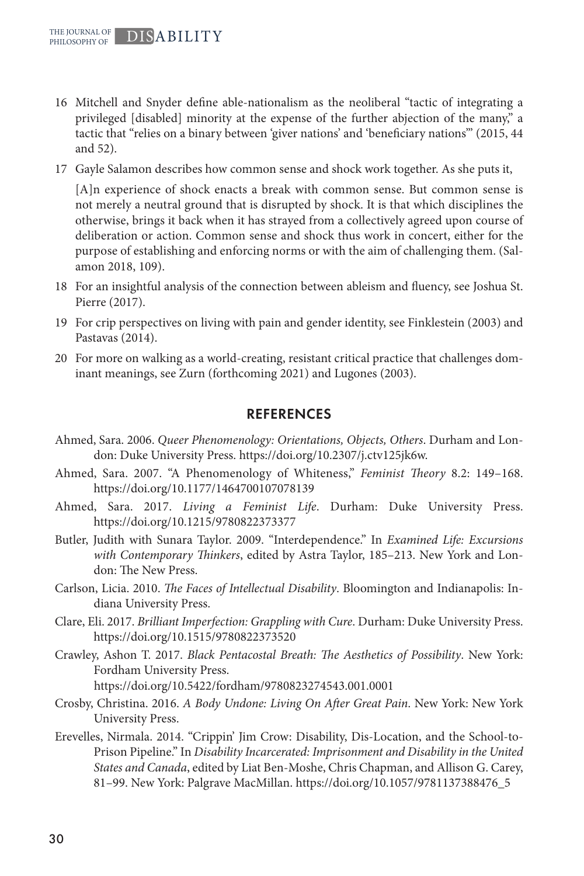- 16 Mitchell and Snyder define able-nationalism as the neoliberal "tactic of integrating a privileged [disabled] minority at the expense of the further abjection of the many," a tactic that "relies on a binary between 'giver nations' and 'beneficiary nations'" (2015, 44 and 52).
- 17 Gayle Salamon describes how common sense and shock work together. As she puts it,

[A]n experience of shock enacts a break with common sense. But common sense is not merely a neutral ground that is disrupted by shock. It is that which disciplines the otherwise, brings it back when it has strayed from a collectively agreed upon course of deliberation or action. Common sense and shock thus work in concert, either for the purpose of establishing and enforcing norms or with the aim of challenging them. (Salamon 2018, 109).

- 18 For an insightful analysis of the connection between ableism and fluency, see Joshua St. Pierre (2017).
- 19 For crip perspectives on living with pain and gender identity, see Finklestein (2003) and Pastavas (2014).
- 20 For more on walking as a world-creating, resistant critical practice that challenges dominant meanings, see Zurn (forthcoming 2021) and Lugones (2003).

#### REFERENCES

- Ahmed, Sara. 2006. *Queer Phenomenology: Orientations, Objects, Others*. Durham and London: Duke University Press. https://doi.org/10.2307/j.ctv125jk6w.
- Ahmed, Sara. 2007. "A Phenomenology of Whiteness," *Feminist Theory* 8.2: 149–168. https://doi.org/10.1177/1464700107078139
- Ahmed, Sara. 2017. *Living a Feminist Life*. Durham: Duke University Press. https://doi.org/10.1215/9780822373377
- Butler, Judith with Sunara Taylor. 2009. "Interdependence." In *Examined Life: Excursions with Contemporary Thinkers*, edited by Astra Taylor, 185–213. New York and London: The New Press.
- Carlson, Licia. 2010. *The Faces of Intellectual Disability*. Bloomington and Indianapolis: Indiana University Press.
- Clare, Eli. 2017. *Brilliant Imperfection: Grappling with Cure*. Durham: Duke University Press. https://doi.org/10.1515/9780822373520
- Crawley, Ashon T. 2017. *Black Pentacostal Breath: The Aesthetics of Possibility*. New York: Fordham University Press. https://doi.org/10.5422/fordham/9780823274543.001.0001
- Crosby, Christina. 2016. *A Body Undone: Living On After Great Pain*. New York: New York University Press.
- Erevelles, Nirmala. 2014. "Crippin' Jim Crow: Disability, Dis-Location, and the School-to-Prison Pipeline." In *Disability Incarcerated: Imprisonment and Disability in the United States and Canada*, edited by Liat Ben-Moshe, Chris Chapman, and Allison G. Carey, 81–99. New York: Palgrave MacMillan. https://doi.org/10.1057/9781137388476\_5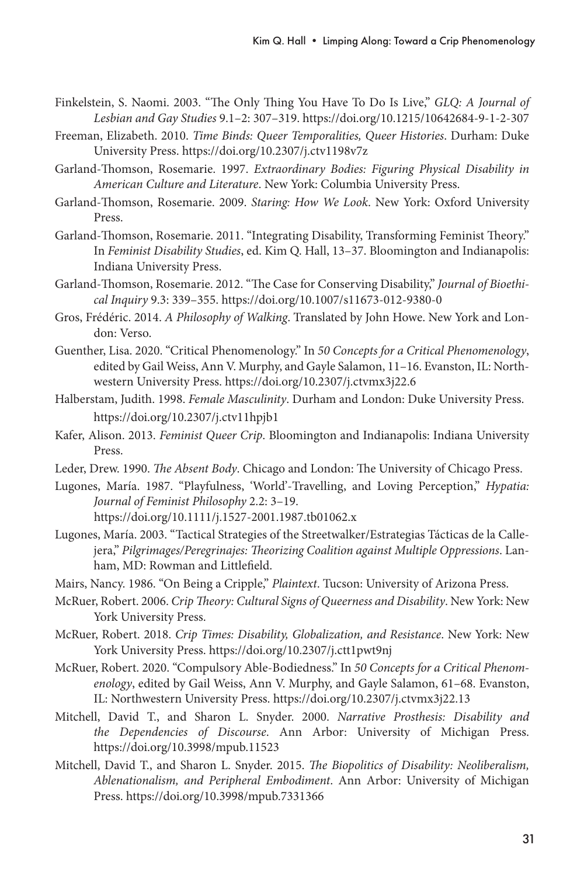- Finkelstein, S. Naomi. 2003. "The Only Thing You Have To Do Is Live," *GLQ: A Journal of Lesbian and Gay Studies* 9.1–2: 307–319. https://doi.org/10.1215/10642684-9-1-2-307
- Freeman, Elizabeth. 2010. *Time Binds: Queer Temporalities, Queer Histories*. Durham: Duke University Press. https://doi.org/10.2307/j.ctv1198v7z
- Garland-Thomson, Rosemarie. 1997. *Extraordinary Bodies: Figuring Physical Disability in American Culture and Literature*. New York: Columbia University Press.
- Garland-Thomson, Rosemarie. 2009. *Staring: How We Look*. New York: Oxford University Press.
- Garland-Thomson, Rosemarie. 2011. "Integrating Disability, Transforming Feminist Theory." In *Feminist Disability Studies*, ed. Kim Q. Hall, 13–37. Bloomington and Indianapolis: Indiana University Press.
- Garland-Thomson, Rosemarie. 2012. "The Case for Conserving Disability," *Journal of Bioethical Inquiry* 9.3: 339–355. https://doi.org/10.1007/s11673-012-9380-0
- Gros, Frédéric. 2014. *A Philosophy of Walking*. Translated by John Howe. New York and London: Verso.
- Guenther, Lisa. 2020. "Critical Phenomenology." In *50 Concepts for a Critical Phenomenology*, edited by Gail Weiss, Ann V. Murphy, and Gayle Salamon, 11–16. Evanston, IL: Northwestern University Press. https://doi.org/10.2307/j.ctvmx3j22.6
- Halberstam, Judith. 1998. *Female Masculinity*. Durham and London: Duke University Press. https://doi.org/10.2307/j.ctv11hpjb1
- Kafer, Alison. 2013. *Feminist Queer Crip*. Bloomington and Indianapolis: Indiana University Press.
- Leder, Drew. 1990. *The Absent Body*. Chicago and London: The University of Chicago Press.
- Lugones, María. 1987. "Playfulness, 'World'-Travelling, and Loving Perception," *Hypatia: Journal of Feminist Philosophy* 2.2: 3–19. https://doi.org/10.1111/j.1527-2001.1987.tb01062.x
- Lugones, María. 2003. "Tactical Strategies of the Streetwalker/Estrategias Tácticas de la Callejera," *Pilgrimages/Peregrinajes: Theorizing Coalition against Multiple Oppressions*. Lanham, MD: Rowman and Littlefield.
- Mairs, Nancy. 1986. "On Being a Cripple," *Plaintext*. Tucson: University of Arizona Press.
- McRuer, Robert. 2006. *Crip Theory: Cultural Signs of Queerness and Disability*. New York: New York University Press.
- McRuer, Robert. 2018. *Crip Times: Disability, Globalization, and Resistance*. New York: New York University Press. https://doi.org/10.2307/j.ctt1pwt9nj
- McRuer, Robert. 2020. "Compulsory Able-Bodiedness." In *50 Concepts for a Critical Phenomenology*, edited by Gail Weiss, Ann V. Murphy, and Gayle Salamon, 61–68. Evanston, IL: Northwestern University Press. https://doi.org/10.2307/j.ctvmx3j22.13
- Mitchell, David T., and Sharon L. Snyder. 2000. *Narrative Prosthesis: Disability and the Dependencies of Discourse*. Ann Arbor: University of Michigan Press. https://doi.org/10.3998/mpub.11523
- Mitchell, David T., and Sharon L. Snyder. 2015. *The Biopolitics of Disability: Neoliberalism, Ablenationalism, and Peripheral Embodiment*. Ann Arbor: University of Michigan Press. https://doi.org/10.3998/mpub.7331366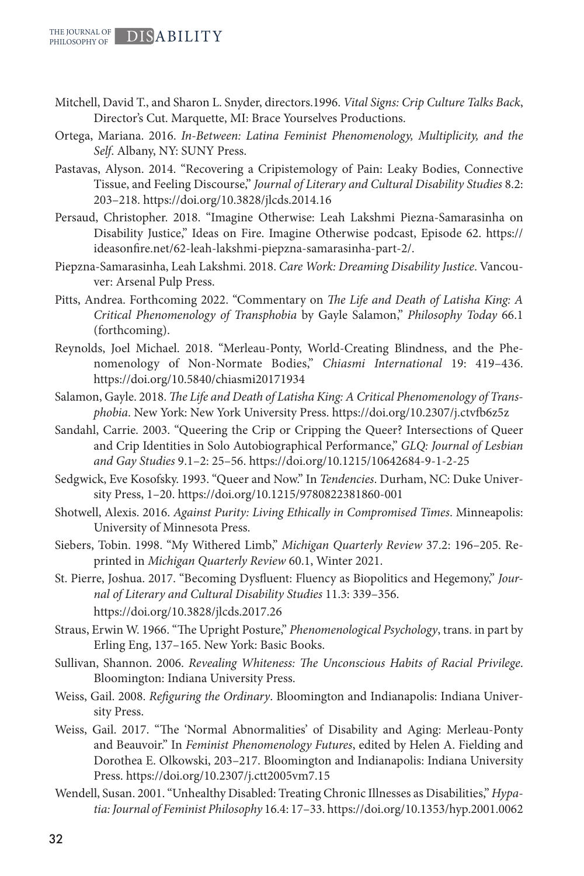- Mitchell, David T., and Sharon L. Snyder, directors.1996. *Vital Signs: Crip Culture Talks Back*, Director's Cut. Marquette, MI: Brace Yourselves Productions.
- Ortega, Mariana. 2016. *In-Between: Latina Feminist Phenomenology, Multiplicity, and the Self*. Albany, NY: SUNY Press.
- Pastavas, Alyson. 2014. "Recovering a Cripistemology of Pain: Leaky Bodies, Connective Tissue, and Feeling Discourse," *Journal of Literary and Cultural Disability Studies* 8.2: 203–218. https://doi.org/10.3828/jlcds.2014.16
- Persaud, Christopher. 2018. "Imagine Otherwise: Leah Lakshmi Piezna-Samarasinha on Disability Justice," Ideas on Fire. Imagine Otherwise podcast, Episode 62. https:// ideasonfire.net/62-leah-lakshmi-piepzna-samarasinha-part-2/.
- Piepzna-Samarasinha, Leah Lakshmi. 2018. *Care Work: Dreaming Disability Justice*. Vancouver: Arsenal Pulp Press.
- Pitts, Andrea. Forthcoming 2022. "Commentary on *The Life and Death of Latisha King: A Critical Phenomenology of Transphobia* by Gayle Salamon," *Philosophy Today* 66.1 (forthcoming).
- Reynolds, Joel Michael. 2018. "Merleau-Ponty, World-Creating Blindness, and the Phenomenology of Non-Normate Bodies," *Chiasmi International* 19: 419–436. https://doi.org/10.5840/chiasmi20171934
- Salamon, Gayle. 2018. *The Life and Death of Latisha King: A Critical Phenomenology of Transphobia*. New York: New York University Press. https://doi.org/10.2307/j.ctvfb6z5z
- Sandahl, Carrie. 2003. "Queering the Crip or Cripping the Queer? Intersections of Queer and Crip Identities in Solo Autobiographical Performance," *GLQ: Journal of Lesbian and Gay Studies* 9.1–2: 25–56. https://doi.org/10.1215/10642684-9-1-2-25
- Sedgwick, Eve Kosofsky. 1993. "Queer and Now." In *Tendencies*. Durham, NC: Duke University Press, 1–20. https://doi.org/10.1215/9780822381860-001
- Shotwell, Alexis. 2016. *Against Purity: Living Ethically in Compromised Times*. Minneapolis: University of Minnesota Press.
- Siebers, Tobin. 1998. "My Withered Limb," *Michigan Quarterly Review* 37.2: 196–205. Reprinted in *Michigan Quarterly Review* 60.1, Winter 2021.
- St. Pierre, Joshua. 2017. "Becoming Dysfluent: Fluency as Biopolitics and Hegemony," *Journal of Literary and Cultural Disability Studies* 11.3: 339–356. https://doi.org/10.3828/jlcds.2017.26
- Straus, Erwin W. 1966. "The Upright Posture," *Phenomenological Psychology*, trans. in part by Erling Eng, 137–165. New York: Basic Books.
- Sullivan, Shannon. 2006. *Revealing Whiteness: The Unconscious Habits of Racial Privilege*. Bloomington: Indiana University Press.
- Weiss, Gail. 2008. *Refiguring the Ordinary*. Bloomington and Indianapolis: Indiana University Press.
- Weiss, Gail. 2017. "The 'Normal Abnormalities' of Disability and Aging: Merleau-Ponty and Beauvoir." In *Feminist Phenomenology Futures*, edited by Helen A. Fielding and Dorothea E. Olkowski, 203–217. Bloomington and Indianapolis: Indiana University Press. https://doi.org/10.2307/j.ctt2005vm7.15
- Wendell, Susan. 2001. "Unhealthy Disabled: Treating Chronic Illnesses as Disabilities," *Hypatia: Journal of Feminist Philosophy* 16.4: 17–33. https://doi.org/10.1353/hyp.2001.0062